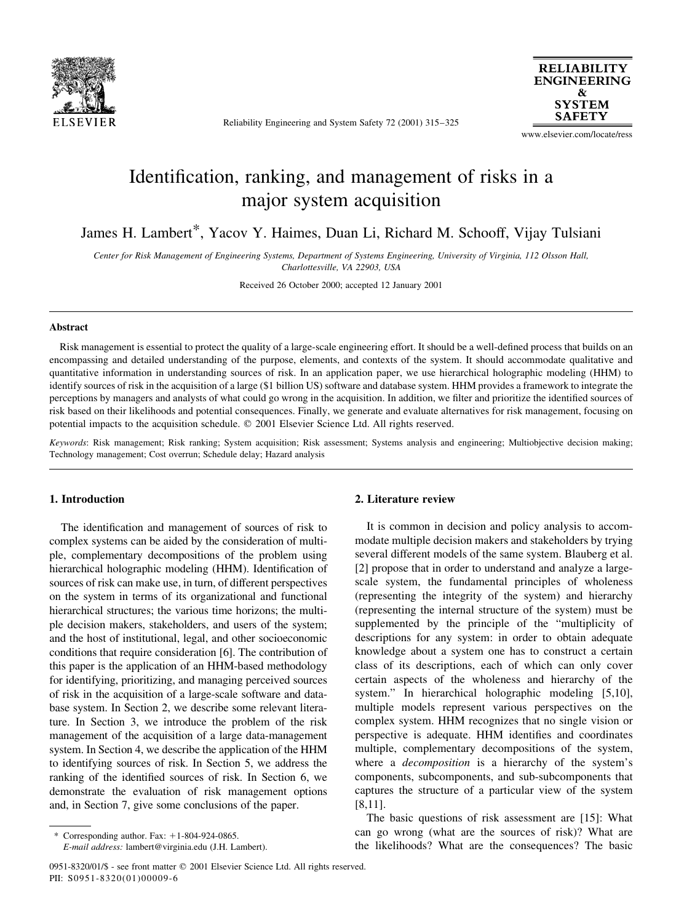

Reliability Engineering and System Safety 72 (2001) 315–325

**RELIABILITY ENGINEERING SYSTEM SAFETY** 

www.elsevier.com/locate/ress

## Identification, ranking, and management of risks in a major system acquisition

James H. Lambert\*, Yacov Y. Haimes, Duan Li, Richard M. Schooff, Vijay Tulsiani

Center for Risk Management of Engineering Systems, Department of Systems Engineering, University of Virginia, 112 Olsson Hall, Charlottesville, VA 22903, USA

Received 26 October 2000; accepted 12 January 2001

## **Abstract**

Risk management is essential to protect the quality of a large-scale engineering effort. It should be a well-defined process that builds on an encompassing and detailed understanding of the purpose, elements, and contexts of the system. It should accommodate qualitative and quantitative information in understanding sources of risk. In an application paper, we use hierarchical holographic modeling (HHM) to identify sources of risk in the acquisition of a large (\$1 billion US) software and database system. HHM provides a framework to integrate the perceptions by managers and analysts of what could go wrong in the acquisition. In addition, we filter and prioritize the identified sources of risk based on their likelihoods and potential consequences. Finally, we generate and evaluate alternatives for risk management, focusing on potential impacts to the acquisition schedule. © 2001 Elsevier Science Ltd. All rights reserved.

Keywords: Risk management; Risk ranking; System acquisition; Risk assessment; Systems analysis and engineering; Multiobjective decision making; Technology management; Cost overrun; Schedule delay; Hazard analysis

## 1. Introduction

The identification and management of sources of risk to complex systems can be aided by the consideration of multiple, complementary decompositions of the problem using hierarchical holographic modeling (HHM). Identification of sources of risk can make use, in turn, of different perspectives on the system in terms of its organizational and functional hierarchical structures; the various time horizons; the multiple decision makers, stakeholders, and users of the system; and the host of institutional, legal, and other socioeconomic conditions that require consideration [6]. The contribution of this paper is the application of an HHM-based methodology for identifying, prioritizing, and managing perceived sources of risk in the acquisition of a large-scale software and database system. In Section 2, we describe some relevant literature. In Section 3, we introduce the problem of the risk management of the acquisition of a large data-management system. In Section 4, we describe the application of the HHM to identifying sources of risk. In Section 5, we address the ranking of the identified sources of risk. In Section 6, we demonstrate the evaluation of risk management options and, in Section 7, give some conclusions of the paper.

Corresponding author. Fax:  $+1-804-924-0865$ .

E-mail address: lambert@virginia.edu (J.H. Lambert).

#### 2. Literature review

It is common in decision and policy analysis to accommodate multiple decision makers and stakeholders by trying several different models of the same system. Blauberg et al. [2] propose that in order to understand and analyze a largescale system, the fundamental principles of wholeness (representing the integrity of the system) and hierarchy (representing the internal structure of the system) must be supplemented by the principle of the "multiplicity of descriptions for any system: in order to obtain adequate knowledge about a system one has to construct a certain class of its descriptions, each of which can only cover certain aspects of the wholeness and hierarchy of the system." In hierarchical holographic modeling [5,10], multiple models represent various perspectives on the complex system. HHM recognizes that no single vision or perspective is adequate. HHM identifies and coordinates multiple, complementary decompositions of the system, where a *decomposition* is a hierarchy of the system's components, subcomponents, and sub-subcomponents that captures the structure of a particular view of the system  $[8, 11]$ .

The basic questions of risk assessment are [15]: What can go wrong (what are the sources of risk)? What are the likelihoods? What are the consequences? The basic

<sup>0951-8320/01/\$ -</sup> see front matter © 2001 Elsevier Science Ltd. All rights reserved. PII: S0951-8320(01)00009-6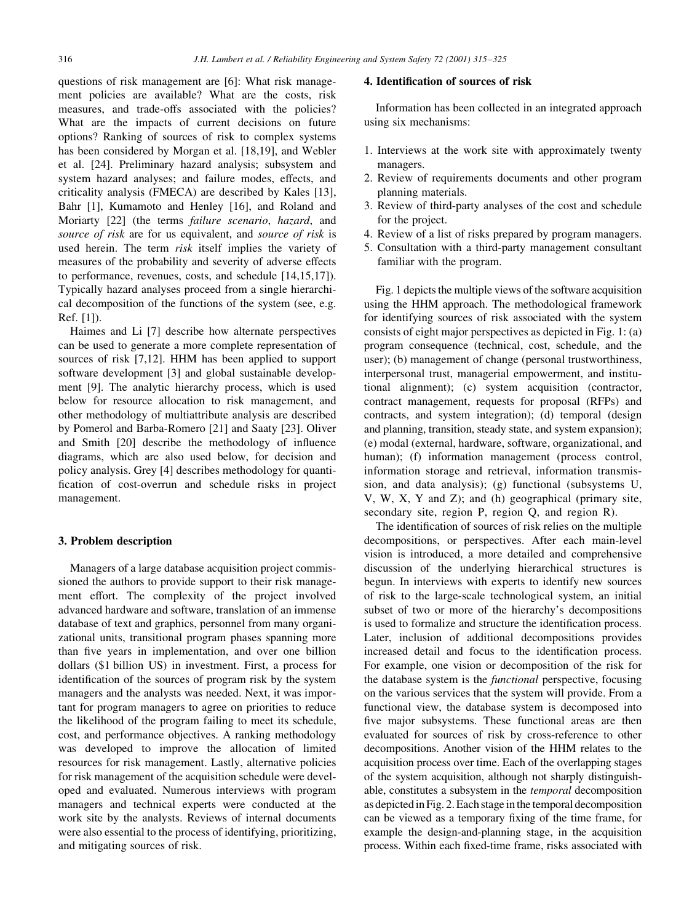questions of risk management are [6]: What risk management policies are available? What are the costs, risk measures, and trade-offs associated with the policies? What are the impacts of current decisions on future options? Ranking of sources of risk to complex systems has been considered by Morgan et al. [18,19], and Webler et al. [24]. Preliminary hazard analysis; subsystem and system hazard analyses; and failure modes, effects, and criticality analysis (FMECA) are described by Kales [13], Bahr [1], Kumamoto and Henley [16], and Roland and Moriarty [22] (the terms failure scenario, hazard, and source of risk are for us equivalent, and source of risk is used herein. The term risk itself implies the variety of measures of the probability and severity of adverse effects to performance, revenues, costs, and schedule [14,15,17]). Typically hazard analyses proceed from a single hierarchical decomposition of the functions of the system (see, e.g.  $Ref. [1]$ ).

Haimes and Li [7] describe how alternate perspectives can be used to generate a more complete representation of sources of risk [7,12]. HHM has been applied to support software development [3] and global sustainable development [9]. The analytic hierarchy process, which is used below for resource allocation to risk management, and other methodology of multiattribute analysis are described by Pomerol and Barba-Romero [21] and Saaty [23]. Oliver and Smith [20] describe the methodology of influence diagrams, which are also used below, for decision and policy analysis. Grey [4] describes methodology for quantification of cost-overrun and schedule risks in project management.

## 3. Problem description

Managers of a large database acquisition project commissioned the authors to provide support to their risk management effort. The complexity of the project involved advanced hardware and software, translation of an immense database of text and graphics, personnel from many organizational units, transitional program phases spanning more than five years in implementation, and over one billion dollars (\$1 billion US) in investment. First, a process for identification of the sources of program risk by the system managers and the analysts was needed. Next, it was important for program managers to agree on priorities to reduce the likelihood of the program failing to meet its schedule, cost, and performance objectives. A ranking methodology was developed to improve the allocation of limited resources for risk management. Lastly, alternative policies for risk management of the acquisition schedule were developed and evaluated. Numerous interviews with program managers and technical experts were conducted at the work site by the analysts. Reviews of internal documents were also essential to the process of identifying, prioritizing, and mitigating sources of risk.

#### 4. Identification of sources of risk

Information has been collected in an integrated approach using six mechanisms:

- 1. Interviews at the work site with approximately twenty managers.
- 2. Review of requirements documents and other program planning materials.
- 3. Review of third-party analyses of the cost and schedule for the project.
- 4. Review of a list of risks prepared by program managers.
- 5. Consultation with a third-party management consultant familiar with the program.

Fig. 1 depicts the multiple views of the software acquisition using the HHM approach. The methodological framework for identifying sources of risk associated with the system consists of eight major perspectives as depicted in Fig. 1: (a) program consequence (technical, cost, schedule, and the user); (b) management of change (personal trustworthiness, interpersonal trust, managerial empowerment, and institutional alignment); (c) system acquisition (contractor, contract management, requests for proposal (RFPs) and contracts, and system integration); (d) temporal (design and planning, transition, steady state, and system expansion); (e) modal (external, hardware, software, organizational, and human); (f) information management (process control, information storage and retrieval, information transmission, and data analysis); (g) functional (subsystems U, V, W, X, Y and Z); and (h) geographical (primary site, secondary site, region P, region Q, and region R).

The identification of sources of risk relies on the multiple decompositions, or perspectives. After each main-level vision is introduced, a more detailed and comprehensive discussion of the underlying hierarchical structures is begun. In interviews with experts to identify new sources of risk to the large-scale technological system, an initial subset of two or more of the hierarchy's decompositions is used to formalize and structure the identification process. Later, inclusion of additional decompositions provides increased detail and focus to the identification process. For example, one vision or decomposition of the risk for the database system is the *functional* perspective, focusing on the various services that the system will provide. From a functional view, the database system is decomposed into five major subsystems. These functional areas are then evaluated for sources of risk by cross-reference to other decompositions. Another vision of the HHM relates to the acquisition process over time. Each of the overlapping stages of the system acquisition, although not sharply distinguishable, constitutes a subsystem in the *temporal* decomposition as depicted in Fig. 2. Each stage in the temporal decomposition can be viewed as a temporary fixing of the time frame, for example the design-and-planning stage, in the acquisition process. Within each fixed-time frame, risks associated with